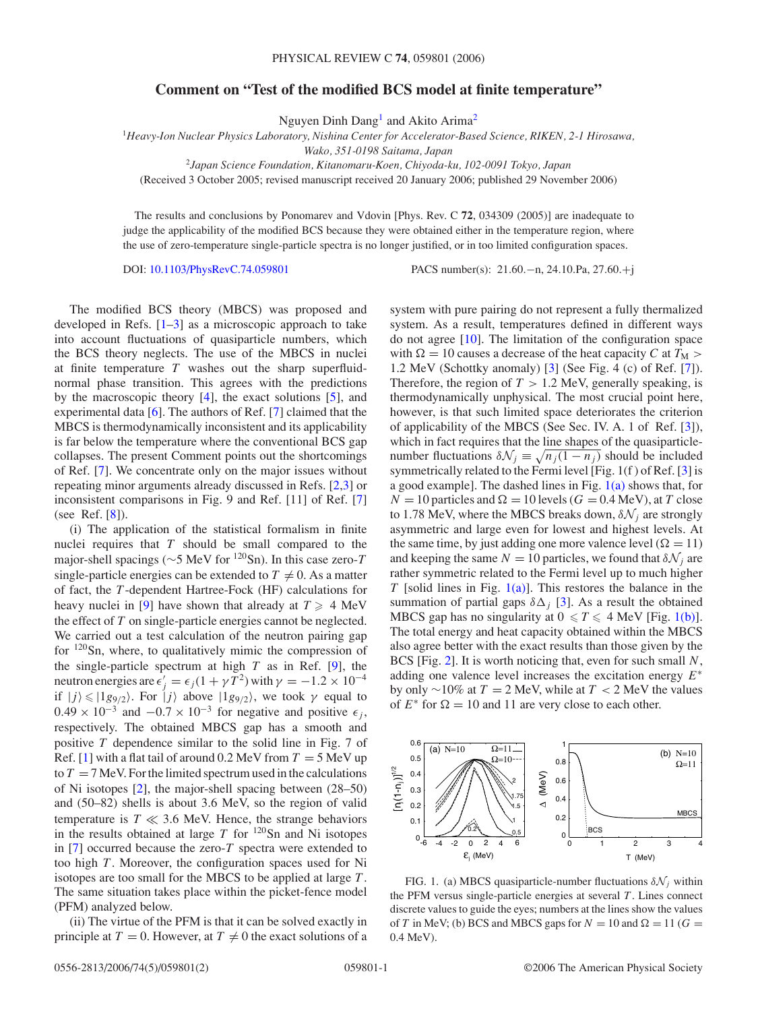## <span id="page-0-0"></span>**Comment on "Test of the modified BCS model at finite temperature"**

Nguyen Dinh Dang<sup>1</sup> and Akito Arima<sup>2</sup>

<sup>1</sup>*Heavy-Ion Nuclear Physics Laboratory, Nishina Center for Accelerator-Based Science, RIKEN, 2-1 Hirosawa,*

*Wako, 351-0198 Saitama, Japan*

<sup>2</sup>*Japan Science Foundation, Kitanomaru-Koen, Chiyoda-ku, 102-0091 Tokyo, Japan*

(Received 3 October 2005; revised manuscript received 20 January 2006; published 29 November 2006)

The results and conclusions by Ponomarev and Vdovin [Phys. Rev. C **72**, 034309 (2005)] are inadequate to judge the applicability of the modified BCS because they were obtained either in the temperature region, where the use of zero-temperature single-particle spectra is no longer justified, or in too limited configuration spaces.

DOI: [10.1103/PhysRevC.74.059801](http://dx.doi.org/10.1103/PhysRevC.74.059801) PACS number(s): 21*.*60*.*−n, 24*.*10*.*Pa, 27*.*60*.*+j

The modified BCS theory (MBCS) was proposed and developed in Refs.  $[1-3]$  as a microscopic approach to take into account fluctuations of quasiparticle numbers, which the BCS theory neglects. The use of the MBCS in nuclei at finite temperature *T* washes out the sharp superfluidnormal phase transition. This agrees with the predictions by the macroscopic theory [\[4\]](#page-1-0), the exact solutions [\[5\]](#page-1-0), and experimental data [\[6\]](#page-1-0). The authors of Ref. [\[7\]](#page-1-0) claimed that the MBCS is thermodynamically inconsistent and its applicability is far below the temperature where the conventional BCS gap collapses. The present Comment points out the shortcomings of Ref. [\[7\]](#page-1-0). We concentrate only on the major issues without repeating minor arguments already discussed in Refs. [\[2,3\]](#page-1-0) or inconsistent comparisons in Fig. 9 and Ref. [11] of Ref. [\[7\]](#page-1-0) (see Ref. [\[8\]](#page-1-0)).

(i) The application of the statistical formalism in finite nuclei requires that *T* should be small compared to the major-shell spacings (∼5 MeV for 120Sn). In this case zero-*<sup>T</sup>* single-particle energies can be extended to  $T \neq 0$ . As a matter of fact, the *T* -dependent Hartree-Fock (HF) calculations for heavy nuclei in [\[9\]](#page-1-0) have shown that already at  $T \geq 4$  MeV the effect of *T* on single-particle energies cannot be neglected. We carried out a test calculation of the neutron pairing gap for  $120$ Sn, where, to qualitatively mimic the compression of the single-particle spectrum at high  $T$  as in Ref. [\[9\]](#page-1-0), the neutron energies are  $\epsilon'_j = \epsilon_j (1 + \gamma T^2)$  with  $\gamma = -1.2 \times 10^{-4}$ if  $|j\rangle \leq |1g_{9/2}\rangle$ . For  $|j\rangle$  above  $|1g_{9/2}\rangle$ , we took  $\gamma$  equal to  $0.49 \times 10^{-3}$  and  $-0.7 \times 10^{-3}$  for negative and positive  $\epsilon_i$ , respectively. The obtained MBCS gap has a smooth and positive *T* dependence similar to the solid line in Fig. 7 of Ref. [\[1\]](#page-1-0) with a flat tail of around  $0.2 \text{ MeV}$  from  $T = 5 \text{ MeV}$  up to  $T = 7$  MeV. For the limited spectrum used in the calculations of Ni isotopes [\[2\]](#page-1-0), the major-shell spacing between (28–50) and (50–82) shells is about 3.6 MeV, so the region of valid temperature is  $T \ll 3.6$  MeV. Hence, the strange behaviors in the results obtained at large  $T$  for  $120$ Sn and Ni isotopes in [\[7\]](#page-1-0) occurred because the zero-*T* spectra were extended to too high *T* . Moreover, the configuration spaces used for Ni isotopes are too small for the MBCS to be applied at large *T* . The same situation takes place within the picket-fence model (PFM) analyzed below.

(ii) The virtue of the PFM is that it can be solved exactly in principle at  $T = 0$ . However, at  $T \neq 0$  the exact solutions of a

system with pure pairing do not represent a fully thermalized system. As a result, temperatures defined in different ways do not agree [\[10\]](#page-1-0). The limitation of the configuration space with  $\Omega = 10$  causes a decrease of the heat capacity *C* at  $T_M$ 1.2 MeV (Schottky anomaly) [\[3\]](#page-1-0) (See Fig. 4 (c) of Ref. [\[7\]](#page-1-0)). Therefore, the region of  $T > 1.2$  MeV, generally speaking, is thermodynamically unphysical. The most crucial point here, however, is that such limited space deteriorates the criterion of applicability of the MBCS (See Sec. IV. A. 1 of Ref. [\[3\]](#page-1-0)), which in fact requires that the line shapes of the quasiparticlenumber fluctuations  $\delta \mathcal{N}_j \equiv \sqrt{n_j(1 - n_j)}$  should be included symmetrically related to the Fermi level [Fig. 1(f ) of Ref. [\[3\]](#page-1-0) is a good example]. The dashed lines in Fig.  $1(a)$  shows that, for  $N = 10$  particles and  $\Omega = 10$  levels ( $G = 0.4$  MeV), at *T* close to 1.78 MeV, where the MBCS breaks down,  $\delta \mathcal{N}_i$  are strongly asymmetric and large even for lowest and highest levels. At the same time, by just adding one more valence level ( $\Omega = 11$ ) and keeping the same  $N = 10$  particles, we found that  $\delta \mathcal{N}_i$  are rather symmetric related to the Fermi level up to much higher *T* [solid lines in Fig.  $1(a)$ ]. This restores the balance in the summation of partial gaps  $\delta \Delta_i$  [\[3\]](#page-1-0). As a result the obtained MBCS gap has no singularity at  $0 \le T \le 4$  MeV [Fig. 1(b)]. The total energy and heat capacity obtained within the MBCS also agree better with the exact results than those given by the BCS [Fig. [2\]](#page-1-0). It is worth noticing that, even for such small *N*, adding one valence level increases the excitation energy *E*<sup>∗</sup> by only ∼10% at *T* = 2 MeV, while at *T <* 2 MeV the values of  $E^*$  for  $\Omega = 10$  and 11 are very close to each other.



FIG. 1. (a) MBCS quasiparticle-number fluctuations  $\delta N_i$  within the PFM versus single-particle energies at several *T* . Lines connect discrete values to guide the eyes; numbers at the lines show the values of *T* in MeV; (b) BCS and MBCS gaps for  $N = 10$  and  $\Omega = 11$  ( $G =$ 0.4 MeV).